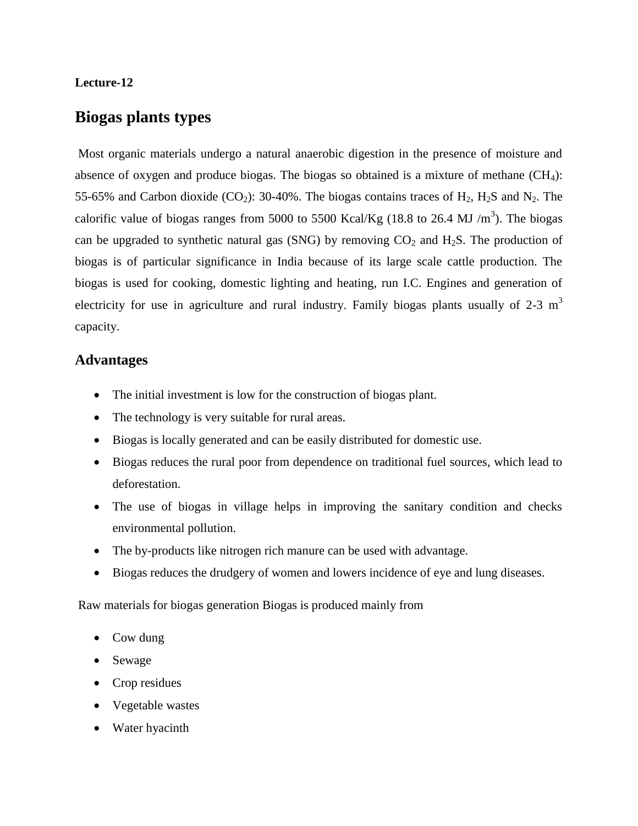#### **Lecture-12**

### **Biogas plants types**

Most organic materials undergo a natural anaerobic digestion in the presence of moisture and absence of oxygen and produce biogas. The biogas so obtained is a mixture of methane  $(CH<sub>4</sub>)$ : 55-65% and Carbon dioxide (CO<sub>2</sub>): 30-40%. The biogas contains traces of  $H_2$ ,  $H_2S$  and  $N_2$ . The calorific value of biogas ranges from 5000 to 5500 Kcal/Kg (18.8 to 26.4 MJ /m<sup>3</sup>). The biogas can be upgraded to synthetic natural gas (SNG) by removing  $CO<sub>2</sub>$  and H<sub>2</sub>S. The production of biogas is of particular significance in India because of its large scale cattle production. The biogas is used for cooking, domestic lighting and heating, run I.C. Engines and generation of electricity for use in agriculture and rural industry. Family biogas plants usually of  $2-3 \text{ m}^3$ capacity.

#### **Advantages**

- The initial investment is low for the construction of biogas plant.
- The technology is very suitable for rural areas.
- Biogas is locally generated and can be easily distributed for domestic use.
- Biogas reduces the rural poor from dependence on traditional fuel sources, which lead to deforestation.
- The use of biogas in village helps in improving the sanitary condition and checks environmental pollution.
- The by-products like nitrogen rich manure can be used with advantage.
- Biogas reduces the drudgery of women and lowers incidence of eye and lung diseases.

Raw materials for biogas generation Biogas is produced mainly from

- Cow dung
- Sewage
- Crop residues
- Vegetable wastes
- Water hyacinth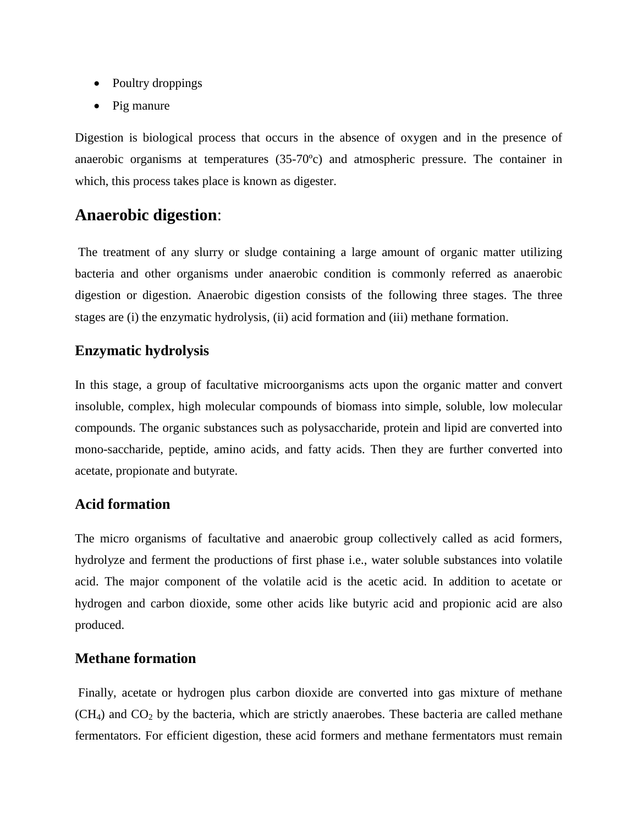- Poultry droppings
- Pig manure

Digestion is biological process that occurs in the absence of oxygen and in the presence of anaerobic organisms at temperatures (35-70ºc) and atmospheric pressure. The container in which, this process takes place is known as digester.

# **Anaerobic digestion**:

The treatment of any slurry or sludge containing a large amount of organic matter utilizing bacteria and other organisms under anaerobic condition is commonly referred as anaerobic digestion or digestion. Anaerobic digestion consists of the following three stages. The three stages are (i) the enzymatic hydrolysis, (ii) acid formation and (iii) methane formation.

### **Enzymatic hydrolysis**

In this stage, a group of facultative microorganisms acts upon the organic matter and convert insoluble, complex, high molecular compounds of biomass into simple, soluble, low molecular compounds. The organic substances such as polysaccharide, protein and lipid are converted into mono-saccharide, peptide, amino acids, and fatty acids. Then they are further converted into acetate, propionate and butyrate.

### **Acid formation**

The micro organisms of facultative and anaerobic group collectively called as acid formers, hydrolyze and ferment the productions of first phase i.e., water soluble substances into volatile acid. The major component of the volatile acid is the acetic acid. In addition to acetate or hydrogen and carbon dioxide, some other acids like butyric acid and propionic acid are also produced.

#### **Methane formation**

Finally, acetate or hydrogen plus carbon dioxide are converted into gas mixture of methane  $(CH<sub>4</sub>)$  and  $CO<sub>2</sub>$  by the bacteria, which are strictly anaerobes. These bacteria are called methane fermentators. For efficient digestion, these acid formers and methane fermentators must remain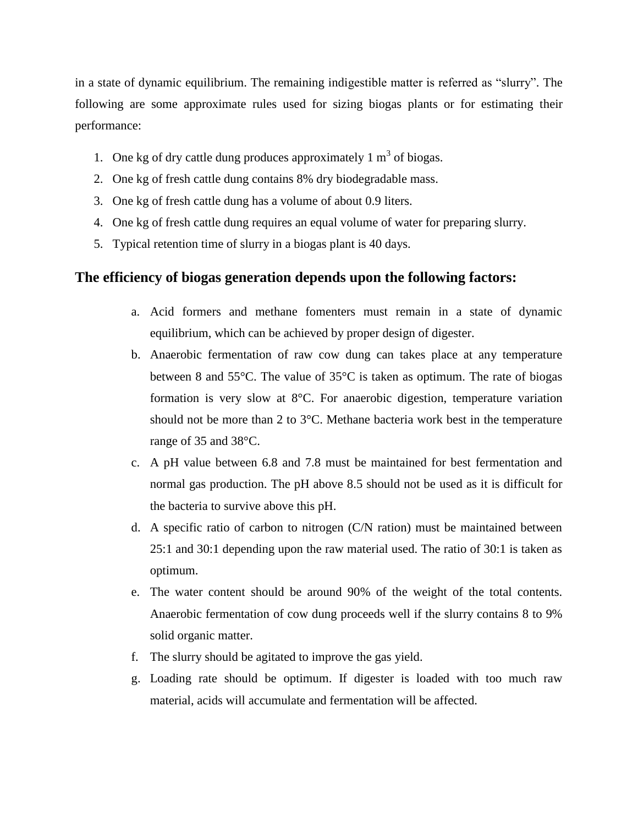in a state of dynamic equilibrium. The remaining indigestible matter is referred as "slurry". The following are some approximate rules used for sizing biogas plants or for estimating their performance:

- 1. One kg of dry cattle dung produces approximately  $1 \text{ m}^3$  of biogas.
- 2. One kg of fresh cattle dung contains 8% dry biodegradable mass.
- 3. One kg of fresh cattle dung has a volume of about 0.9 liters.
- 4. One kg of fresh cattle dung requires an equal volume of water for preparing slurry.
- 5. Typical retention time of slurry in a biogas plant is 40 days.

### **The efficiency of biogas generation depends upon the following factors:**

- a. Acid formers and methane fomenters must remain in a state of dynamic equilibrium, which can be achieved by proper design of digester.
- b. Anaerobic fermentation of raw cow dung can takes place at any temperature between 8 and 55°C. The value of 35°C is taken as optimum. The rate of biogas formation is very slow at 8°C. For anaerobic digestion, temperature variation should not be more than 2 to 3°C. Methane bacteria work best in the temperature range of 35 and 38°C.
- c. A pH value between 6.8 and 7.8 must be maintained for best fermentation and normal gas production. The pH above 8.5 should not be used as it is difficult for the bacteria to survive above this pH.
- d. A specific ratio of carbon to nitrogen (C/N ration) must be maintained between 25:1 and 30:1 depending upon the raw material used. The ratio of 30:1 is taken as optimum.
- e. The water content should be around 90% of the weight of the total contents. Anaerobic fermentation of cow dung proceeds well if the slurry contains 8 to 9% solid organic matter.
- f. The slurry should be agitated to improve the gas yield.
- g. Loading rate should be optimum. If digester is loaded with too much raw material, acids will accumulate and fermentation will be affected.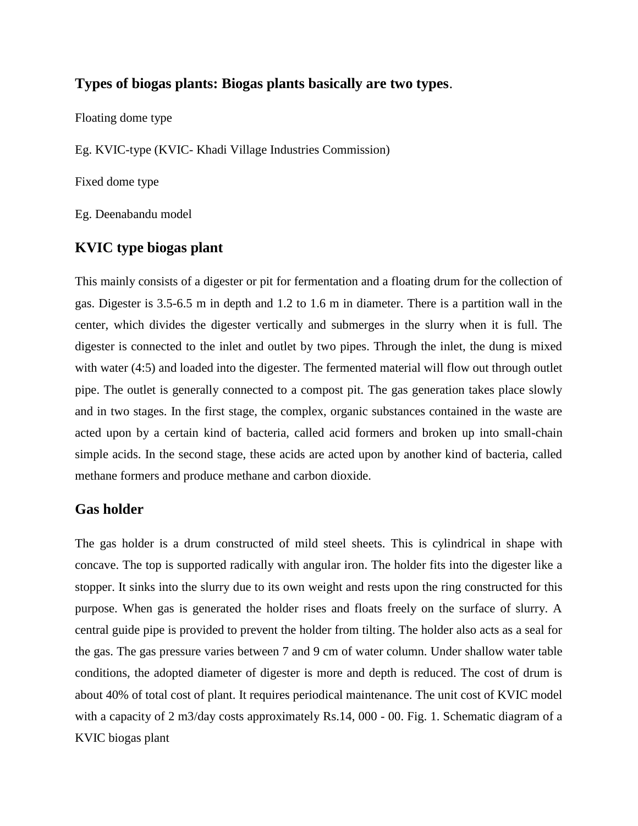#### **Types of biogas plants: Biogas plants basically are two types**.

Floating dome type

Eg. KVIC-type (KVIC- Khadi Village Industries Commission)

Fixed dome type

Eg. Deenabandu model

### **KVIC type biogas plant**

This mainly consists of a digester or pit for fermentation and a floating drum for the collection of gas. Digester is 3.5-6.5 m in depth and 1.2 to 1.6 m in diameter. There is a partition wall in the center, which divides the digester vertically and submerges in the slurry when it is full. The digester is connected to the inlet and outlet by two pipes. Through the inlet, the dung is mixed with water (4:5) and loaded into the digester. The fermented material will flow out through outlet pipe. The outlet is generally connected to a compost pit. The gas generation takes place slowly and in two stages. In the first stage, the complex, organic substances contained in the waste are acted upon by a certain kind of bacteria, called acid formers and broken up into small-chain simple acids. In the second stage, these acids are acted upon by another kind of bacteria, called methane formers and produce methane and carbon dioxide.

#### **Gas holder**

The gas holder is a drum constructed of mild steel sheets. This is cylindrical in shape with concave. The top is supported radically with angular iron. The holder fits into the digester like a stopper. It sinks into the slurry due to its own weight and rests upon the ring constructed for this purpose. When gas is generated the holder rises and floats freely on the surface of slurry. A central guide pipe is provided to prevent the holder from tilting. The holder also acts as a seal for the gas. The gas pressure varies between 7 and 9 cm of water column. Under shallow water table conditions, the adopted diameter of digester is more and depth is reduced. The cost of drum is about 40% of total cost of plant. It requires periodical maintenance. The unit cost of KVIC model with a capacity of 2 m3/day costs approximately Rs.14, 000 - 00. Fig. 1. Schematic diagram of a KVIC biogas plant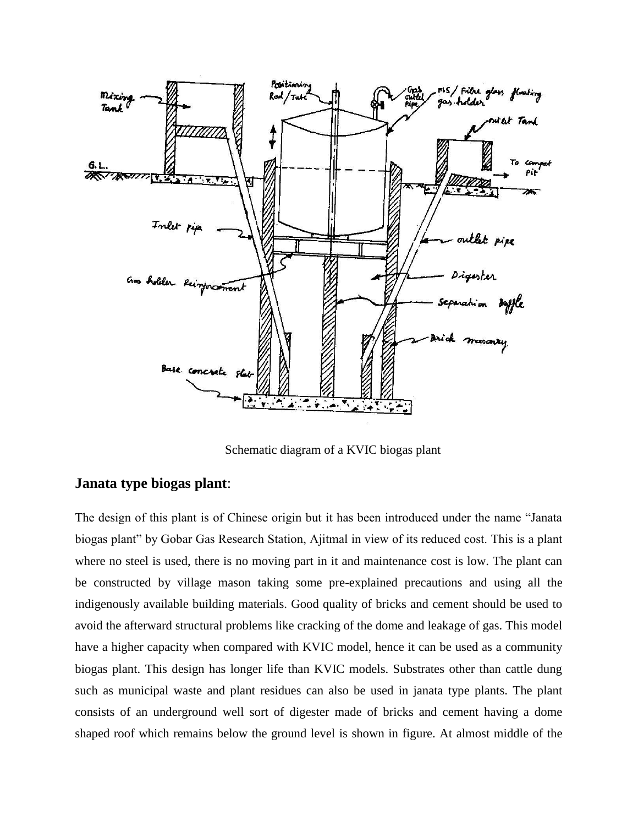

Schematic diagram of a KVIC biogas plant

## **Janata type biogas plant**:

The design of this plant is of Chinese origin but it has been introduced under the name "Janata biogas plant" by Gobar Gas Research Station, Ajitmal in view of its reduced cost. This is a plant where no steel is used, there is no moving part in it and maintenance cost is low. The plant can be constructed by village mason taking some pre-explained precautions and using all the indigenously available building materials. Good quality of bricks and cement should be used to avoid the afterward structural problems like cracking of the dome and leakage of gas. This model have a higher capacity when compared with KVIC model, hence it can be used as a community biogas plant. This design has longer life than KVIC models. Substrates other than cattle dung such as municipal waste and plant residues can also be used in janata type plants. The plant consists of an underground well sort of digester made of bricks and cement having a dome shaped roof which remains below the ground level is shown in figure. At almost middle of the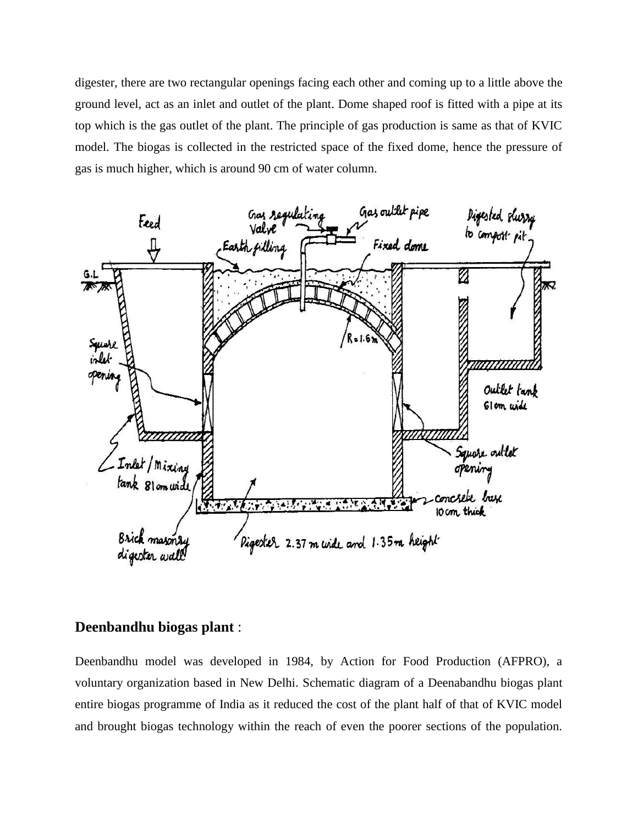digester, there are two rectangular openings facing each other and coming up to a little above the ground level, act as an inlet and outlet of the plant. Dome shaped roof is fitted with a pipe at its top which is the gas outlet of the plant. The principle of gas production is same as that of KVIC model. The biogas is collected in the restricted space of the fixed dome, hence the pressure of gas is much higher, which is around 90 cm of water column.



### **Deenbandhu biogas plant** :

Deenbandhu model was developed in 1984, by Action for Food Production (AFPRO), a voluntary organization based in New Delhi. Schematic diagram of a Deenabandhu biogas plant entire biogas programme of India as it reduced the cost of the plant half of that of KVIC model and brought biogas technology within the reach of even the poorer sections of the population.